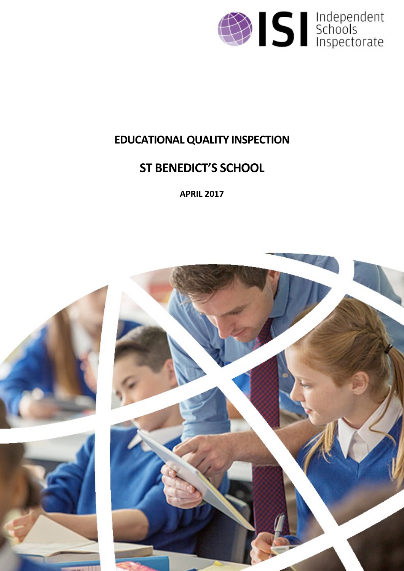

# **EDUCATIONALQUALITY INSPECTION**

# **ST BENEDICT'S SCHOOL**

**APRIL 2017**

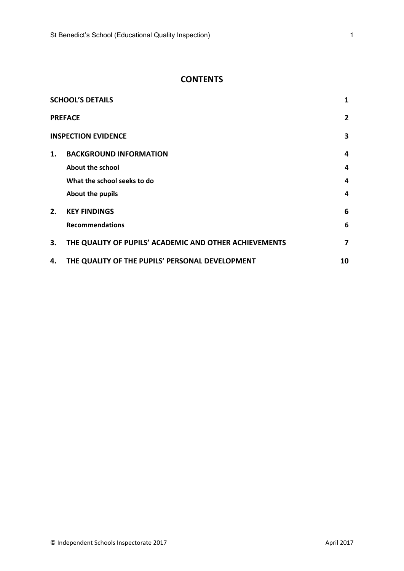# **CONTENTS**

| <b>SCHOOL'S DETAILS</b><br>1 |                                                        |    |  |  |  |
|------------------------------|--------------------------------------------------------|----|--|--|--|
|                              | $\overline{2}$<br><b>PREFACE</b>                       |    |  |  |  |
|                              | <b>INSPECTION EVIDENCE</b>                             | 3  |  |  |  |
| 1.                           | <b>BACKGROUND INFORMATION</b>                          | 4  |  |  |  |
|                              | About the school                                       | 4  |  |  |  |
|                              | What the school seeks to do                            | 4  |  |  |  |
|                              | About the pupils                                       | 4  |  |  |  |
| 2.                           | <b>KEY FINDINGS</b>                                    | 6  |  |  |  |
|                              | <b>Recommendations</b>                                 | 6  |  |  |  |
| 3.                           | THE QUALITY OF PUPILS' ACADEMIC AND OTHER ACHIEVEMENTS | 7  |  |  |  |
| 4.                           | THE QUALITY OF THE PUPILS' PERSONAL DEVELOPMENT        | 10 |  |  |  |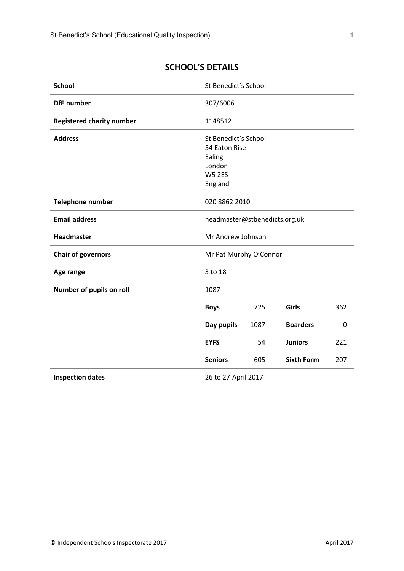| <b>School</b>                    | St Benedict's School          |      |                   |     |
|----------------------------------|-------------------------------|------|-------------------|-----|
| <b>DfE</b> number                | 307/6006                      |      |                   |     |
| <b>Registered charity number</b> | 1148512                       |      |                   |     |
| <b>Address</b>                   | St Benedict's School          |      |                   |     |
|                                  | 54 Eaton Rise                 |      |                   |     |
|                                  | Ealing                        |      |                   |     |
|                                  | London                        |      |                   |     |
|                                  | <b>W5 2ES</b>                 |      |                   |     |
|                                  | England                       |      |                   |     |
|                                  |                               |      |                   |     |
| <b>Telephone number</b>          | 020 8862 2010                 |      |                   |     |
| <b>Email address</b>             | headmaster@stbenedicts.org.uk |      |                   |     |
| Headmaster                       | Mr Andrew Johnson             |      |                   |     |
| <b>Chair of governors</b>        | Mr Pat Murphy O'Connor        |      |                   |     |
| Age range                        | 3 to 18                       |      |                   |     |
| Number of pupils on roll         | 1087                          |      |                   |     |
|                                  | <b>Boys</b>                   | 725  | Girls             | 362 |
|                                  | Day pupils                    | 1087 | <b>Boarders</b>   | 0   |
|                                  | <b>EYFS</b>                   | 54   | <b>Juniors</b>    | 221 |
|                                  | <b>Seniors</b>                | 605  | <b>Sixth Form</b> | 207 |
| <b>Inspection dates</b>          | 26 to 27 April 2017           |      |                   |     |

# <span id="page-2-0"></span>**SCHOOL'S DETAILS**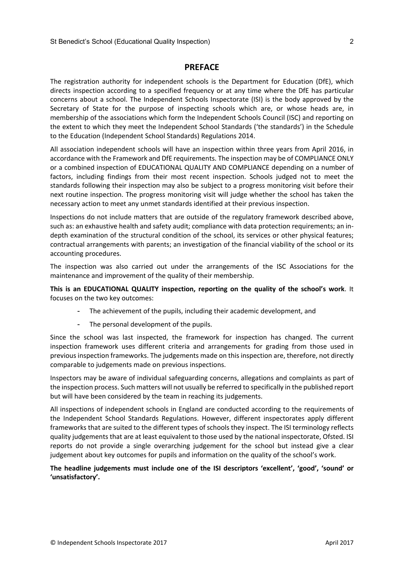## <span id="page-3-0"></span>**PREFACE**

The registration authority for independent schools is the Department for Education (DfE), which directs inspection according to a specified frequency or at any time where the DfE has particular concerns about a school. The Independent Schools Inspectorate (ISI) is the body approved by the Secretary of State for the purpose of inspecting schools which are, or whose heads are, in membership of the associations which form the Independent Schools Council (ISC) and reporting on the extent to which they meet the Independent School Standards ('the standards') in the Schedule to the Education (Independent School Standards) Regulations 2014.

All association independent schools will have an inspection within three years from April 2016, in accordance with the Framework and DfE requirements. The inspection may be of COMPLIANCE ONLY or a combined inspection of EDUCATIONAL QUALITY AND COMPLIANCE depending on a number of factors, including findings from their most recent inspection. Schools judged not to meet the standards following their inspection may also be subject to a progress monitoring visit before their next routine inspection. The progress monitoring visit will judge whether the school has taken the necessary action to meet any unmet standards identified at their previous inspection.

Inspections do not include matters that are outside of the regulatory framework described above, such as: an exhaustive health and safety audit; compliance with data protection requirements; an indepth examination of the structural condition of the school, its services or other physical features; contractual arrangements with parents; an investigation of the financial viability of the school or its accounting procedures.

The inspection was also carried out under the arrangements of the ISC Associations for the maintenance and improvement of the quality of their membership.

**This is an EDUCATIONAL QUALITY inspection, reporting on the quality of the school's work**. It focuses on the two key outcomes:

- The achievement of the pupils, including their academic development, and
- The personal development of the pupils.

Since the school was last inspected, the framework for inspection has changed. The current inspection framework uses different criteria and arrangements for grading from those used in previous inspection frameworks. The judgements made on this inspection are, therefore, not directly comparable to judgements made on previous inspections.

Inspectors may be aware of individual safeguarding concerns, allegations and complaints as part of the inspection process. Such matters will not usually be referred to specifically in the published report but will have been considered by the team in reaching its judgements.

All inspections of independent schools in England are conducted according to the requirements of the Independent School Standards Regulations. However, different inspectorates apply different frameworks that are suited to the different types of schools they inspect. The ISI terminology reflects quality judgements that are at least equivalent to those used by the national inspectorate, Ofsted. ISI reports do not provide a single overarching judgement for the school but instead give a clear judgement about key outcomes for pupils and information on the quality of the school's work.

**The headline judgements must include one of the ISI descriptors 'excellent', 'good', 'sound' or 'unsatisfactory'.**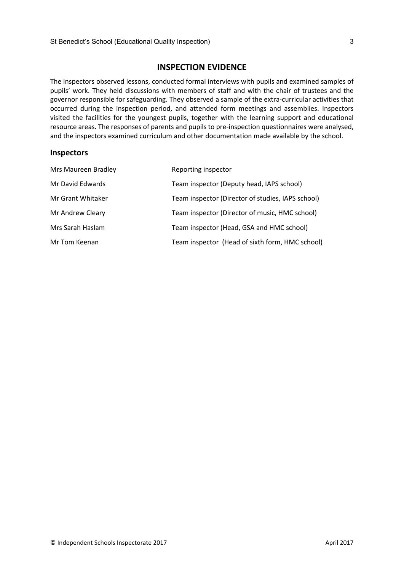## <span id="page-4-0"></span>**INSPECTION EVIDENCE**

The inspectors observed lessons, conducted formal interviews with pupils and examined samples of pupils' work. They held discussions with members of staff and with the chair of trustees and the governor responsible for safeguarding. They observed a sample of the extra-curricular activities that occurred during the inspection period, and attended form meetings and assemblies. Inspectors visited the facilities for the youngest pupils, together with the learning support and educational resource areas. The responses of parents and pupils to pre-inspection questionnaires were analysed, and the inspectors examined curriculum and other documentation made available by the school.

#### **Inspectors**

| Mrs Maureen Bradley | Reporting inspector                               |
|---------------------|---------------------------------------------------|
| Mr David Edwards    | Team inspector (Deputy head, IAPS school)         |
| Mr Grant Whitaker   | Team inspector (Director of studies, IAPS school) |
| Mr Andrew Cleary    | Team inspector (Director of music, HMC school)    |
| Mrs Sarah Haslam    | Team inspector (Head, GSA and HMC school)         |
| Mr Tom Keenan       | Team inspector (Head of sixth form, HMC school)   |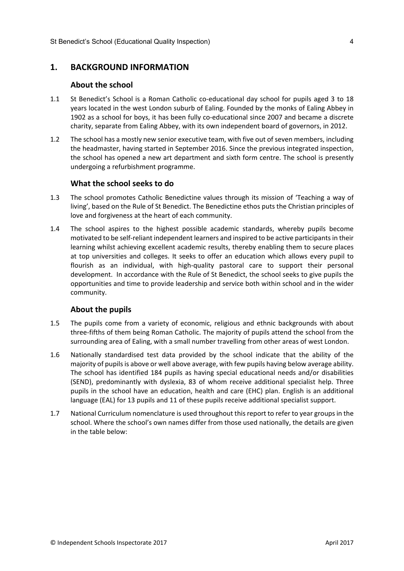# <span id="page-5-0"></span>**1. BACKGROUND INFORMATION**

#### <span id="page-5-1"></span>**About the school**

- 1.1 St Benedict's School is a Roman Catholic co-educational day school for pupils aged 3 to 18 years located in the west London suburb of Ealing. Founded by the monks of Ealing Abbey in 1902 as a school for boys, it has been fully co-educational since 2007 and became a discrete charity, separate from Ealing Abbey, with its own independent board of governors, in 2012.
- 1.2 The school has a mostly new senior executive team, with five out of seven members, including the headmaster, having started in September 2016. Since the previous integrated inspection, the school has opened a new art department and sixth form centre. The school is presently undergoing a refurbishment programme.

#### <span id="page-5-2"></span>**What the school seeks to do**

- 1.3 The school promotes Catholic Benedictine values through its mission of 'Teaching a way of living', based on the Rule of St Benedict. The Benedictine ethos puts the Christian principles of love and forgiveness at the heart of each community.
- 1.4 The school aspires to the highest possible academic standards, whereby pupils become motivated to be self-reliant independent learners and inspired to be active participantsin their learning whilst achieving excellent academic results, thereby enabling them to secure places at top universities and colleges. It seeks to offer an education which allows every pupil to flourish as an individual, with high-quality pastoral care to support their personal development. In accordance with the Rule of St Benedict, the school seeks to give pupils the opportunities and time to provide leadership and service both within school and in the wider community.

## <span id="page-5-3"></span>**About the pupils**

- 1.5 The pupils come from a variety of economic, religious and ethnic backgrounds with about three-fifths of them being Roman Catholic. The majority of pupils attend the school from the surrounding area of Ealing, with a small number travelling from other areas of west London.
- 1.6 Nationally standardised test data provided by the school indicate that the ability of the majority of pupils is above or well above average, with few pupils having below average ability. The school has identified 184 pupils as having special educational needs and/or disabilities (SEND), predominantly with dyslexia, 83 of whom receive additional specialist help. Three pupils in the school have an education, health and care (EHC) plan. English is an additional language (EAL) for 13 pupils and 11 of these pupils receive additional specialist support.
- 1.7 National Curriculum nomenclature is used throughout this report to refer to year groups in the school. Where the school's own names differ from those used nationally, the details are given in the table below: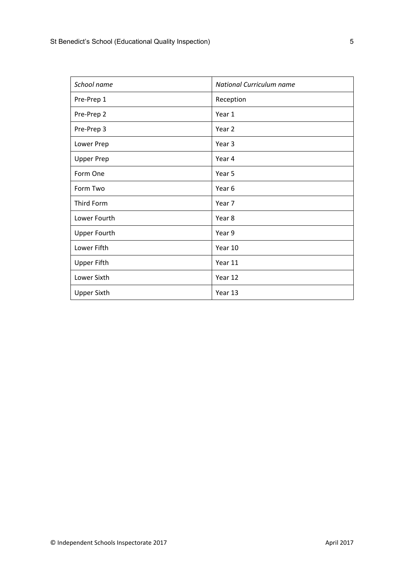| School name         | <b>National Curriculum name</b> |
|---------------------|---------------------------------|
| Pre-Prep 1          | Reception                       |
| Pre-Prep 2          | Year 1                          |
| Pre-Prep 3          | Year <sub>2</sub>               |
| Lower Prep          | Year 3                          |
| <b>Upper Prep</b>   | Year 4                          |
| Form One            | Year 5                          |
| Form Two            | Year 6                          |
| Third Form          | Year 7                          |
| Lower Fourth        | Year 8                          |
| <b>Upper Fourth</b> | Year 9                          |
| Lower Fifth         | Year 10                         |
| <b>Upper Fifth</b>  | Year 11                         |
| Lower Sixth         | Year 12                         |
| <b>Upper Sixth</b>  | Year 13                         |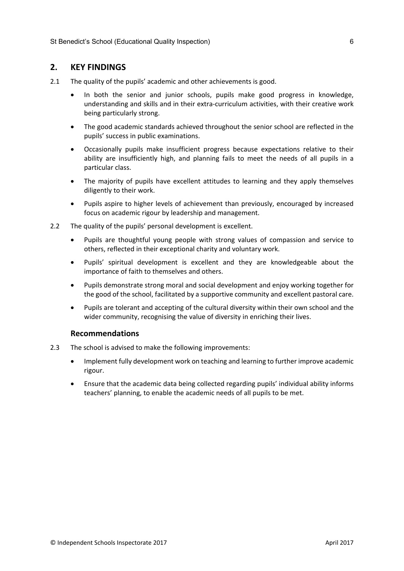# <span id="page-7-0"></span>**2. KEY FINDINGS**

- 2.1 The quality of the pupils' academic and other achievements is good.
	- In both the senior and junior schools, pupils make good progress in knowledge, understanding and skills and in their extra-curriculum activities, with their creative work being particularly strong.
	- The good academic standards achieved throughout the senior school are reflected in the pupils' success in public examinations.
	- Occasionally pupils make insufficient progress because expectations relative to their ability are insufficiently high, and planning fails to meet the needs of all pupils in a particular class.
	- The majority of pupils have excellent attitudes to learning and they apply themselves diligently to their work.
	- Pupils aspire to higher levels of achievement than previously, encouraged by increased focus on academic rigour by leadership and management.
- 2.2 The quality of the pupils' personal development is excellent.
	- Pupils are thoughtful young people with strong values of compassion and service to others, reflected in their exceptional charity and voluntary work.
	- Pupils' spiritual development is excellent and they are knowledgeable about the importance of faith to themselves and others.
	- Pupils demonstrate strong moral and social development and enjoy working together for the good of the school, facilitated by a supportive community and excellent pastoral care.
	- Pupils are tolerant and accepting of the cultural diversity within their own school and the wider community, recognising the value of diversity in enriching their lives.

#### <span id="page-7-1"></span>**Recommendations**

- 2.3 The school is advised to make the following improvements:
	- Implement fully development work on teaching and learning to further improve academic rigour.
	- Ensure that the academic data being collected regarding pupils' individual ability informs teachers' planning, to enable the academic needs of all pupils to be met.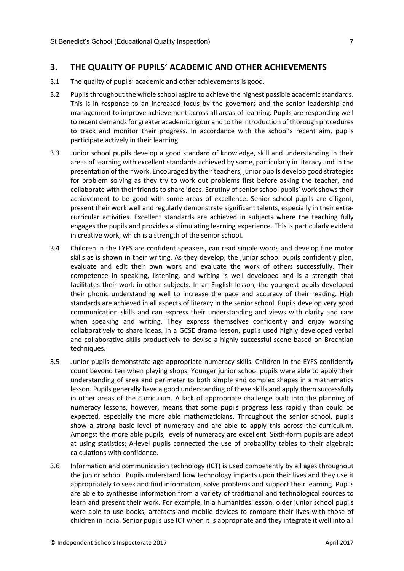#### <span id="page-8-0"></span>**3. THE QUALITY OF PUPILS' ACADEMIC AND OTHER ACHIEVEMENTS**

- 3.1 The quality of pupils' academic and other achievements is good.
- 3.2 Pupilsthroughout the whole school aspire to achieve the highest possible academic standards. This is in response to an increased focus by the governors and the senior leadership and management to improve achievement across all areas of learning. Pupils are responding well to recent demands for greater academic rigour and to the introduction of thorough procedures to track and monitor their progress. In accordance with the school's recent aim, pupils participate actively in their learning.
- 3.3 Junior school pupils develop a good standard of knowledge, skill and understanding in their areas of learning with excellent standards achieved by some, particularly in literacy and in the presentation of their work. Encouraged by their teachers, junior pupils develop good strategies for problem solving as they try to work out problems first before asking the teacher, and collaborate with their friends to share ideas. Scrutiny of senior school pupils' work shows their achievement to be good with some areas of excellence. Senior school pupils are diligent, present their work well and regularly demonstrate significant talents, especially in their extracurricular activities. Excellent standards are achieved in subjects where the teaching fully engages the pupils and provides a stimulating learning experience. This is particularly evident in creative work, which is a strength of the senior school.
- 3.4 Children in the EYFS are confident speakers, can read simple words and develop fine motor skills as is shown in their writing. As they develop, the junior school pupils confidently plan, evaluate and edit their own work and evaluate the work of others successfully. Their competence in speaking, listening, and writing is well developed and is a strength that facilitates their work in other subjects. In an English lesson, the youngest pupils developed their phonic understanding well to increase the pace and accuracy of their reading. High standards are achieved in all aspects of literacy in the senior school. Pupils develop very good communication skills and can express their understanding and views with clarity and care when speaking and writing. They express themselves confidently and enjoy working collaboratively to share ideas. In a GCSE drama lesson, pupils used highly developed verbal and collaborative skills productively to devise a highly successful scene based on Brechtian techniques.
- 3.5 Junior pupils demonstrate age-appropriate numeracy skills. Children in the EYFS confidently count beyond ten when playing shops. Younger junior school pupils were able to apply their understanding of area and perimeter to both simple and complex shapes in a mathematics lesson. Pupils generally have a good understanding of these skills and apply them successfully in other areas of the curriculum. A lack of appropriate challenge built into the planning of numeracy lessons, however, means that some pupils progress less rapidly than could be expected, especially the more able mathematicians. Throughout the senior school, pupils show a strong basic level of numeracy and are able to apply this across the curriculum. Amongst the more able pupils, levels of numeracy are excellent. Sixth-form pupils are adept at using statistics; A-level pupils connected the use of probability tables to their algebraic calculations with confidence.
- 3.6 Information and communication technology (ICT) is used competently by all ages throughout the junior school. Pupils understand how technology impacts upon their lives and they use it appropriately to seek and find information, solve problems and support their learning. Pupils are able to synthesise information from a variety of traditional and technological sources to learn and present their work. For example, in a humanities lesson, older junior school pupils were able to use books, artefacts and mobile devices to compare their lives with those of children in India. Senior pupils use ICT when it is appropriate and they integrate it well into all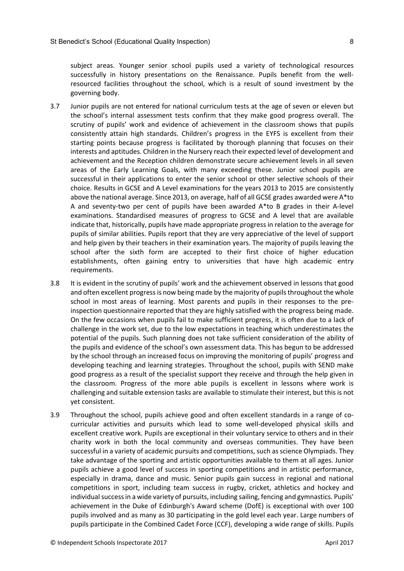subject areas. Younger senior school pupils used a variety of technological resources successfully in history presentations on the Renaissance. Pupils benefit from the wellresourced facilities throughout the school, which is a result of sound investment by the governing body.

- 3.7 Junior pupils are not entered for national curriculum tests at the age of seven or eleven but the school's internal assessment tests confirm that they make good progress overall. The scrutiny of pupils' work and evidence of achievement in the classroom shows that pupils consistently attain high standards. Children's progress in the EYFS is excellent from their starting points because progress is facilitated by thorough planning that focuses on their interests and aptitudes. Children in the Nursery reach their expected level of development and achievement and the Reception children demonstrate secure achievement levels in all seven areas of the Early Learning Goals, with many exceeding these. Junior school pupils are successful in their applications to enter the senior school or other selective schools of their choice. Results in GCSE and A Level examinations for the years 2013 to 2015 are consistently above the national average. Since 2013, on average, half of all GCSE grades awarded were A\*to A and seventy-two per cent of pupils have been awarded A\*to B grades in their A-level examinations. Standardised measures of progress to GCSE and A level that are available indicate that, historically, pupils have made appropriate progress in relation to the average for pupils of similar abilities. Pupils report that they are very appreciative of the level of support and help given by their teachers in their examination years. The majority of pupils leaving the school after the sixth form are accepted to their first choice of higher education establishments, often gaining entry to universities that have high academic entry requirements.
- 3.8 It is evident in the scrutiny of pupils' work and the achievement observed in lessons that good and often excellent progress is now being made by the majority of pupils throughout the whole school in most areas of learning. Most parents and pupils in their responses to the preinspection questionnaire reported that they are highly satisfied with the progress being made. On the few occasions when pupils fail to make sufficient progress, it is often due to a lack of challenge in the work set, due to the low expectations in teaching which underestimates the potential of the pupils. Such planning does not take sufficient consideration of the ability of the pupils and evidence of the school's own assessment data. This has begun to be addressed by the school through an increased focus on improving the monitoring of pupils' progress and developing teaching and learning strategies. Throughout the school, pupils with SEND make good progress as a result of the specialist support they receive and through the help given in the classroom. Progress of the more able pupils is excellent in lessons where work is challenging and suitable extension tasks are available to stimulate their interest, but this is not yet consistent.
- 3.9 Throughout the school, pupils achieve good and often excellent standards in a range of cocurricular activities and pursuits which lead to some well-developed physical skills and excellent creative work. Pupils are exceptional in their voluntary service to others and in their charity work in both the local community and overseas communities. They have been successful in a variety of academic pursuits and competitions, such as science Olympiads. They take advantage of the sporting and artistic opportunities available to them at all ages. Junior pupils achieve a good level of success in sporting competitions and in artistic performance, especially in drama, dance and music. Senior pupils gain success in regional and national competitions in sport, including team success in rugby, cricket, athletics and hockey and individual success in a wide variety of pursuits, including sailing, fencing and gymnastics. Pupils' achievement in the Duke of Edinburgh's Award scheme (DofE) is exceptional with over 100 pupils involved and as many as 30 participating in the gold level each year. Large numbers of pupils participate in the Combined Cadet Force (CCF), developing a wide range of skills. Pupils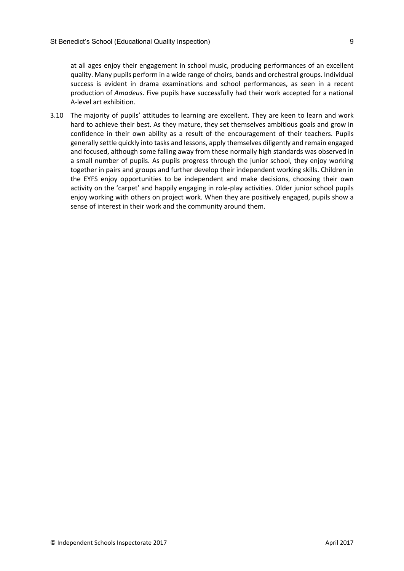at all ages enjoy their engagement in school music, producing performances of an excellent quality. Many pupils perform in a wide range of choirs, bands and orchestral groups. Individual success is evident in drama examinations and school performances, as seen in a recent production of *Amadeus*. Five pupils have successfully had their work accepted for a national A-level art exhibition.

3.10 The majority of pupils' attitudes to learning are excellent. They are keen to learn and work hard to achieve their best. As they mature, they set themselves ambitious goals and grow in confidence in their own ability as a result of the encouragement of their teachers. Pupils generally settle quickly into tasks and lessons, apply themselves diligently and remain engaged and focused, although some falling away from these normally high standards was observed in a small number of pupils. As pupils progress through the junior school, they enjoy working together in pairs and groups and further develop their independent working skills. Children in the EYFS enjoy opportunities to be independent and make decisions, choosing their own activity on the 'carpet' and happily engaging in role-play activities. Older junior school pupils enjoy working with others on project work. When they are positively engaged, pupils show a sense of interest in their work and the community around them.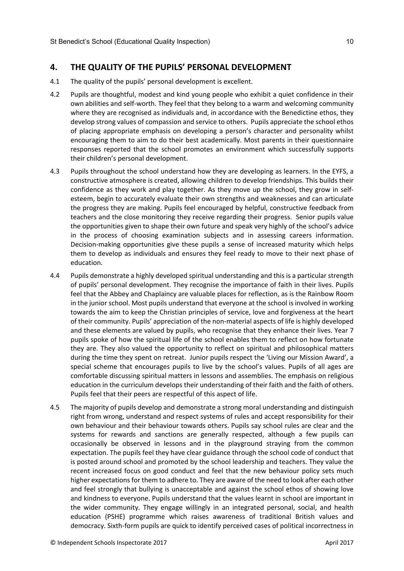# <span id="page-11-0"></span>**4. THE QUALITY OF THE PUPILS' PERSONAL DEVELOPMENT**

- 4.1 The quality of the pupils' personal development is excellent.
- 4.2 Pupils are thoughtful, modest and kind young people who exhibit a quiet confidence in their own abilities and self-worth. They feel that they belong to a warm and welcoming community where they are recognised as individuals and, in accordance with the Benedictine ethos, they develop strong values of compassion and service to others. Pupils appreciate the school ethos of placing appropriate emphasis on developing a person's character and personality whilst encouraging them to aim to do their best academically. Most parents in their questionnaire responses reported that the school promotes an environment which successfully supports their children's personal development.
- 4.3 Pupils throughout the school understand how they are developing as learners. In the EYFS, a constructive atmosphere is created, allowing children to develop friendships. This builds their confidence as they work and play together. As they move up the school, they grow in selfesteem, begin to accurately evaluate their own strengths and weaknesses and can articulate the progress they are making. Pupils feel encouraged by helpful, constructive feedback from teachers and the close monitoring they receive regarding their progress. Senior pupils value the opportunities given to shape their own future and speak very highly of the school's advice in the process of choosing examination subjects and in assessing careers information. Decision-making opportunities give these pupils a sense of increased maturity which helps them to develop as individuals and ensures they feel ready to move to their next phase of education.
- 4.4 Pupils demonstrate a highly developed spiritual understanding and this is a particular strength of pupils' personal development. They recognise the importance of faith in their lives. Pupils feel that the Abbey and Chaplaincy are valuable places for reflection, as is the Rainbow Room in the junior school. Most pupils understand that everyone at the school is involved in working towards the aim to keep the Christian principles of service, love and forgiveness at the heart of their community. Pupils' appreciation of the non-material aspects of life is highly developed and these elements are valued by pupils, who recognise that they enhance their lives. Year 7 pupils spoke of how the spiritual life of the school enables them to reflect on how fortunate they are. They also valued the opportunity to reflect on spiritual and philosophical matters during the time they spent on retreat. Junior pupils respect the 'Living our Mission Award', a special scheme that encourages pupils to live by the school's values. Pupils of all ages are comfortable discussing spiritual matters in lessons and assemblies. The emphasis on religious education in the curriculum develops their understanding of their faith and the faith of others. Pupils feel that their peers are respectful of this aspect of life.
- 4.5 The majority of pupils develop and demonstrate a strong moral understanding and distinguish right from wrong, understand and respect systems of rules and accept responsibility for their own behaviour and their behaviour towards others. Pupils say school rules are clear and the systems for rewards and sanctions are generally respected, although a few pupils can occasionally be observed in lessons and in the playground straying from the common expectation. The pupils feel they have clear guidance through the school code of conduct that is posted around school and promoted by the school leadership and teachers. They value the recent increased focus on good conduct and feel that the new behaviour policy sets much higher expectations for them to adhere to. They are aware of the need to look after each other and feel strongly that bullying is unacceptable and against the school ethos of showing love and kindness to everyone. Pupils understand that the values learnt in school are important in the wider community. They engage willingly in an integrated personal, social, and health education (PSHE) programme which raises awareness of traditional British values and democracy. Sixth-form pupils are quick to identify perceived cases of political incorrectness in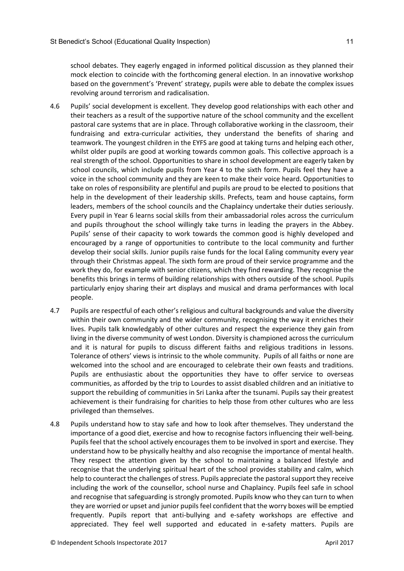school debates. They eagerly engaged in informed political discussion as they planned their mock election to coincide with the forthcoming general election. In an innovative workshop based on the government's 'Prevent' strategy, pupils were able to debate the complex issues revolving around terrorism and radicalisation.

- 4.6 Pupils' social development is excellent. They develop good relationships with each other and their teachers as a result of the supportive nature of the school community and the excellent pastoral care systems that are in place. Through collaborative working in the classroom, their fundraising and extra-curricular activities, they understand the benefits of sharing and teamwork. The youngest children in the EYFS are good at taking turns and helping each other, whilst older pupils are good at working towards common goals. This collective approach is a real strength of the school. Opportunities to share in school development are eagerly taken by school councils, which include pupils from Year 4 to the sixth form. Pupils feel they have a voice in the school community and they are keen to make their voice heard. Opportunities to take on roles of responsibility are plentiful and pupils are proud to be elected to positions that help in the development of their leadership skills. Prefects, team and house captains, form leaders, members of the school councils and the Chaplaincy undertake their duties seriously. Every pupil in Year 6 learns social skills from their ambassadorial roles across the curriculum and pupils throughout the school willingly take turns in leading the prayers in the Abbey. Pupils' sense of their capacity to work towards the common good is highly developed and encouraged by a range of opportunities to contribute to the local community and further develop their social skills. Junior pupils raise funds for the local Ealing community every year through their Christmas appeal. The sixth form are proud of their service programme and the work they do, for example with senior citizens, which they find rewarding. They recognise the benefits this brings in terms of building relationships with others outside of the school. Pupils particularly enjoy sharing their art displays and musical and drama performances with local people.
- 4.7 Pupils are respectful of each other's religious and cultural backgrounds and value the diversity within their own community and the wider community, recognising the way it enriches their lives. Pupils talk knowledgably of other cultures and respect the experience they gain from living in the diverse community of west London. Diversity is championed across the curriculum and it is natural for pupils to discuss different faiths and religious traditions in lessons. Tolerance of others' views is intrinsic to the whole community. Pupils of all faiths or none are welcomed into the school and are encouraged to celebrate their own feasts and traditions. Pupils are enthusiastic about the opportunities they have to offer service to overseas communities, as afforded by the trip to Lourdes to assist disabled children and an initiative to support the rebuilding of communities in Sri Lanka after the tsunami. Pupils say their greatest achievement is their fundraising for charities to help those from other cultures who are less privileged than themselves.
- 4.8 Pupils understand how to stay safe and how to look after themselves. They understand the importance of a good diet, exercise and how to recognise factors influencing their well-being. Pupils feel that the school actively encourages them to be involved in sport and exercise. They understand how to be physically healthy and also recognise the importance of mental health. They respect the attention given by the school to maintaining a balanced lifestyle and recognise that the underlying spiritual heart of the school provides stability and calm, which help to counteract the challenges of stress. Pupils appreciate the pastoral support they receive including the work of the counsellor, school nurse and Chaplaincy. Pupils feel safe in school and recognise that safeguarding is strongly promoted. Pupils know who they can turn to when they are worried or upset and junior pupils feel confident that the worry boxes will be emptied frequently. Pupils report that anti-bullying and e-safety workshops are effective and appreciated. They feel well supported and educated in e-safety matters. Pupils are